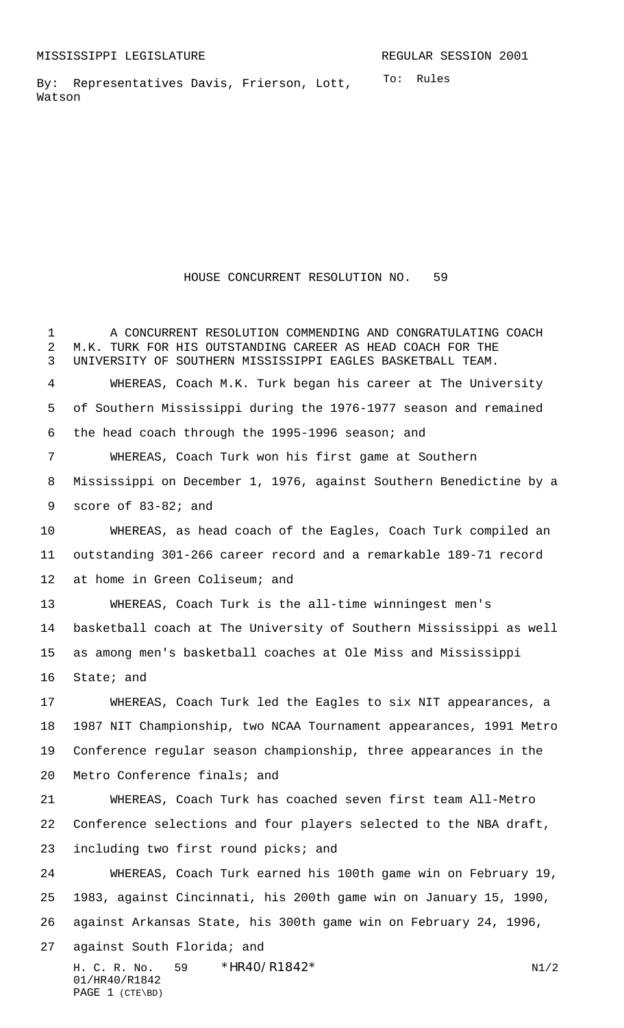To: Rules By: Representatives Davis, Frierson, Lott, Watson

HOUSE CONCURRENT RESOLUTION NO. 59

H. C. R. No. \*HR40/R1842\* N1/2 01/HR40/R1842 PAGE 1 (CTE\BD) A CONCURRENT RESOLUTION COMMENDING AND CONGRATULATING COACH M.K. TURK FOR HIS OUTSTANDING CAREER AS HEAD COACH FOR THE UNIVERSITY OF SOUTHERN MISSISSIPPI EAGLES BASKETBALL TEAM. WHEREAS, Coach M.K. Turk began his career at The University of Southern Mississippi during the 1976-1977 season and remained the head coach through the 1995-1996 season; and WHEREAS, Coach Turk won his first game at Southern Mississippi on December 1, 1976, against Southern Benedictine by a score of 83-82; and WHEREAS, as head coach of the Eagles, Coach Turk compiled an outstanding 301-266 career record and a remarkable 189-71 record at home in Green Coliseum; and WHEREAS, Coach Turk is the all-time winningest men's basketball coach at The University of Southern Mississippi as well as among men's basketball coaches at Ole Miss and Mississippi State; and WHEREAS, Coach Turk led the Eagles to six NIT appearances, a 1987 NIT Championship, two NCAA Tournament appearances, 1991 Metro Conference regular season championship, three appearances in the Metro Conference finals; and WHEREAS, Coach Turk has coached seven first team All-Metro Conference selections and four players selected to the NBA draft, including two first round picks; and WHEREAS, Coach Turk earned his 100th game win on February 19, 1983, against Cincinnati, his 200th game win on January 15, 1990, against Arkansas State, his 300th game win on February 24, 1996, against South Florida; and